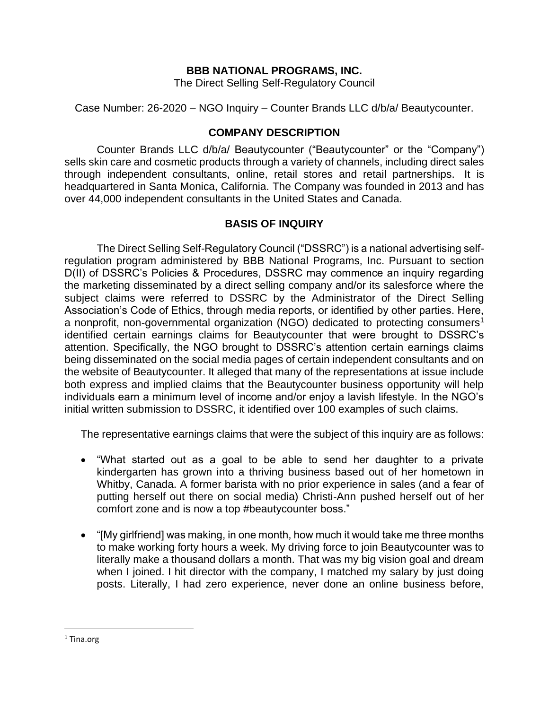## **BBB NATIONAL PROGRAMS, INC.**

The Direct Selling Self-Regulatory Council

Case Number: 26-2020 – NGO Inquiry – Counter Brands LLC d/b/a/ Beautycounter.

## **COMPANY DESCRIPTION**

Counter Brands LLC d/b/a/ Beautycounter ("Beautycounter" or the "Company") sells skin care and cosmetic products through a variety of channels, including direct sales through independent consultants, online, retail stores and retail partnerships. It is headquartered in Santa Monica, California. The Company was founded in 2013 and has over 44,000 independent consultants in the United States and Canada.

# **BASIS OF INQUIRY**

The Direct Selling Self-Regulatory Council ("DSSRC") is a national advertising selfregulation program administered by BBB National Programs, Inc. Pursuant to section D(II) of DSSRC's Policies & Procedures, DSSRC may commence an inquiry regarding the marketing disseminated by a direct selling company and/or its salesforce where the subject claims were referred to DSSRC by the Administrator of the Direct Selling Association's Code of Ethics, through media reports, or identified by other parties. Here, a nonprofit, non-governmental organization (NGO) dedicated to protecting consumers<sup>1</sup> identified certain earnings claims for Beautycounter that were brought to DSSRC's attention. Specifically, the NGO brought to DSSRC's attention certain earnings claims being disseminated on the social media pages of certain independent consultants and on the website of Beautycounter. It alleged that many of the representations at issue include both express and implied claims that the Beautycounter business opportunity will help individuals earn a minimum level of income and/or enjoy a lavish lifestyle. In the NGO's initial written submission to DSSRC, it identified over 100 examples of such claims.

The representative earnings claims that were the subject of this inquiry are as follows:

- "What started out as a goal to be able to send her daughter to a private kindergarten has grown into a thriving business based out of her hometown in Whitby, Canada. A former barista with no prior experience in sales (and a fear of putting herself out there on social media) Christi-Ann pushed herself out of her comfort zone and is now a top #beautycounter boss."
- "[My girlfriend] was making, in one month, how much it would take me three months to make working forty hours a week. My driving force to join Beautycounter was to literally make a thousand dollars a month. That was my big vision goal and dream when I joined. I hit director with the company, I matched my salary by just doing posts. Literally, I had zero experience, never done an online business before,

<sup>&</sup>lt;sup>1</sup> Tina.org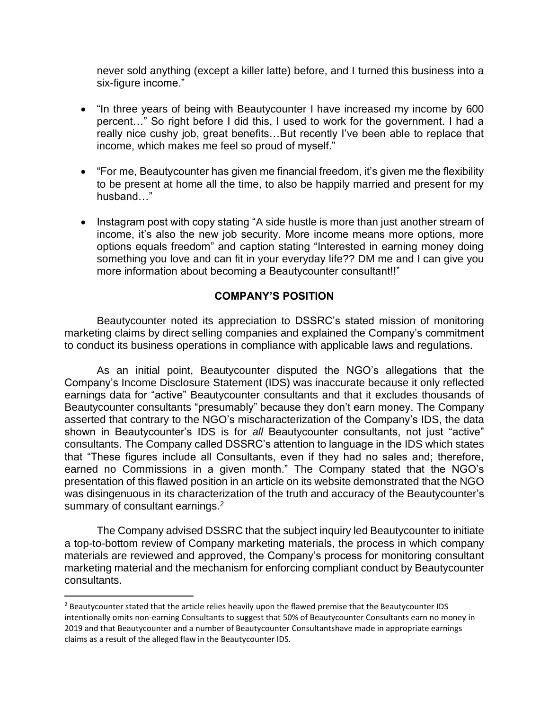never sold anything (except a killer latte) before, and I turned this business into a six-figure income."

- "In three years of being with Beautycounter I have increased my income by 600 percent…" So right before I did this, I used to work for the government. I had a really nice cushy job, great benefits…But recently I've been able to replace that income, which makes me feel so proud of myself."
- "For me, Beautycounter has given me financial freedom, it's given me the flexibility to be present at home all the time, to also be happily married and present for my husband…"
- Instagram post with copy stating "A side hustle is more than just another stream of income, it's also the new job security. More income means more options, more options equals freedom" and caption stating "Interested in earning money doing something you love and can fit in your everyday life?? DM me and I can give you more information about becoming a Beautycounter consultant!!"

# **COMPANY'S POSITION**

Beautycounter noted its appreciation to DSSRC's stated mission of monitoring marketing claims by direct selling companies and explained the Company's commitment to conduct its business operations in compliance with applicable laws and regulations.

As an initial point, Beautycounter disputed the NGO's allegations that the Company's Income Disclosure Statement (IDS) was inaccurate because it only reflected earnings data for "active" Beautycounter consultants and that it excludes thousands of Beautycounter consultants "presumably" because they don't earn money. The Company asserted that contrary to the NGO's mischaracterization of the Company's IDS, the data shown in Beautycounter's IDS is for *all* Beautycounter consultants, not just "active" consultants. The Company called DSSRC's attention to language in the IDS which states that "These figures include all Consultants, even if they had no sales and; therefore, earned no Commissions in a given month." The Company stated that the NGO's presentation of this flawed position in an article on its website demonstrated that the NGO was disingenuous in its characterization of the truth and accuracy of the Beautycounter's summary of consultant earnings.<sup>2</sup>

The Company advised DSSRC that the subject inquiry led Beautycounter to initiate a top-to-bottom review of Company marketing materials, the process in which company materials are reviewed and approved, the Company's process for monitoring consultant marketing material and the mechanism for enforcing compliant conduct by Beautycounter consultants.

<sup>&</sup>lt;sup>2</sup> Beautycounter stated that the article relies heavily upon the flawed premise that the Beautycounter IDS intentionally omits non-earning Consultants to suggest that 50% of Beautycounter Consultants earn no money in 2019 and that Beautycounter and a number of Beautycounter Consultantshave made in appropriate earnings claims as a result of the alleged flaw in the Beautycounter IDS.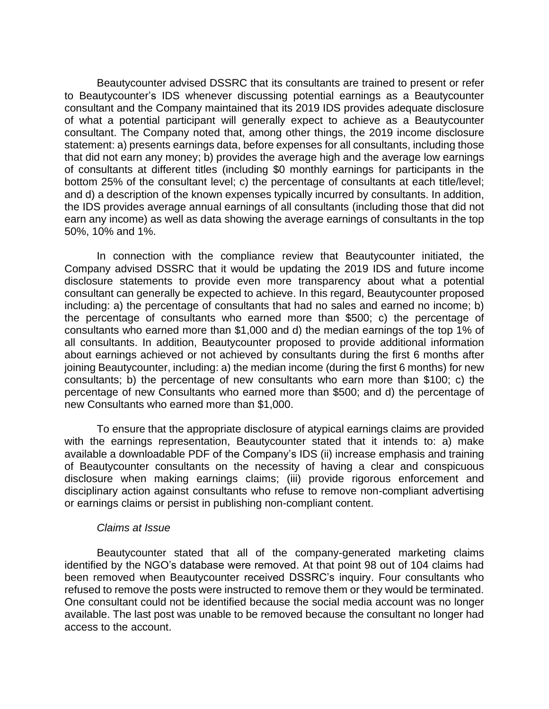Beautycounter advised DSSRC that its consultants are trained to present or refer to Beautycounter's IDS whenever discussing potential earnings as a Beautycounter consultant and the Company maintained that its 2019 IDS provides adequate disclosure of what a potential participant will generally expect to achieve as a Beautycounter consultant. The Company noted that, among other things, the 2019 income disclosure statement: a) presents earnings data, before expenses for all consultants, including those that did not earn any money; b) provides the average high and the average low earnings of consultants at different titles (including \$0 monthly earnings for participants in the bottom 25% of the consultant level; c) the percentage of consultants at each title/level; and d) a description of the known expenses typically incurred by consultants. In addition, the IDS provides average annual earnings of all consultants (including those that did not earn any income) as well as data showing the average earnings of consultants in the top 50%, 10% and 1%.

In connection with the compliance review that Beautycounter initiated, the Company advised DSSRC that it would be updating the 2019 IDS and future income disclosure statements to provide even more transparency about what a potential consultant can generally be expected to achieve. In this regard, Beautycounter proposed including: a) the percentage of consultants that had no sales and earned no income; b) the percentage of consultants who earned more than \$500; c) the percentage of consultants who earned more than \$1,000 and d) the median earnings of the top 1% of all consultants. In addition, Beautycounter proposed to provide additional information about earnings achieved or not achieved by consultants during the first 6 months after joining Beautycounter, including: a) the median income (during the first 6 months) for new consultants; b) the percentage of new consultants who earn more than \$100; c) the percentage of new Consultants who earned more than \$500; and d) the percentage of new Consultants who earned more than \$1,000.

To ensure that the appropriate disclosure of atypical earnings claims are provided with the earnings representation, Beautycounter stated that it intends to: a) make available a downloadable PDF of the Company's IDS (ii) increase emphasis and training of Beautycounter consultants on the necessity of having a clear and conspicuous disclosure when making earnings claims; (iii) provide rigorous enforcement and disciplinary action against consultants who refuse to remove non-compliant advertising or earnings claims or persist in publishing non-compliant content.

#### *Claims at Issue*

Beautycounter stated that all of the company-generated marketing claims identified by the NGO's database were removed. At that point 98 out of 104 claims had been removed when Beautycounter received DSSRC's inquiry. Four consultants who refused to remove the posts were instructed to remove them or they would be terminated. One consultant could not be identified because the social media account was no longer available. The last post was unable to be removed because the consultant no longer had access to the account.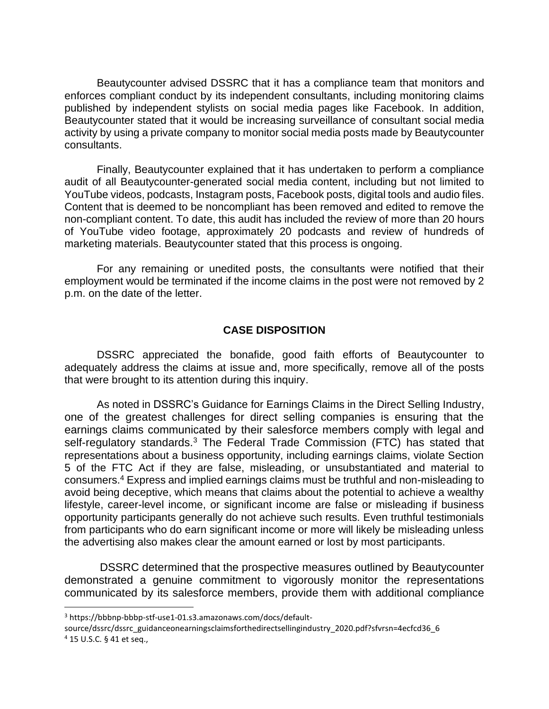Beautycounter advised DSSRC that it has a compliance team that monitors and enforces compliant conduct by its independent consultants, including monitoring claims published by independent stylists on social media pages like Facebook. In addition, Beautycounter stated that it would be increasing surveillance of consultant social media activity by using a private company to monitor social media posts made by Beautycounter consultants.

Finally, Beautycounter explained that it has undertaken to perform a compliance audit of all Beautycounter-generated social media content, including but not limited to YouTube videos, podcasts, Instagram posts, Facebook posts, digital tools and audio files. Content that is deemed to be noncompliant has been removed and edited to remove the non-compliant content. To date, this audit has included the review of more than 20 hours of YouTube video footage, approximately 20 podcasts and review of hundreds of marketing materials. Beautycounter stated that this process is ongoing.

For any remaining or unedited posts, the consultants were notified that their employment would be terminated if the income claims in the post were not removed by 2 p.m. on the date of the letter.

#### **CASE DISPOSITION**

DSSRC appreciated the bonafide, good faith efforts of Beautycounter to adequately address the claims at issue and, more specifically, remove all of the posts that were brought to its attention during this inquiry.

As noted in DSSRC's Guidance for Earnings Claims in the Direct Selling Industry, one of the greatest challenges for direct selling companies is ensuring that the earnings claims communicated by their salesforce members comply with legal and self-regulatory standards.<sup>3</sup> The Federal Trade Commission (FTC) has stated that representations about a business opportunity, including earnings claims, violate Section 5 of the FTC Act if they are false, misleading, or unsubstantiated and material to consumers.<sup>4</sup> Express and implied earnings claims must be truthful and non-misleading to avoid being deceptive, which means that claims about the potential to achieve a wealthy lifestyle, career-level income, or significant income are false or misleading if business opportunity participants generally do not achieve such results. Even truthful testimonials from participants who do earn significant income or more will likely be misleading unless the advertising also makes clear the amount earned or lost by most participants.

DSSRC determined that the prospective measures outlined by Beautycounter demonstrated a genuine commitment to vigorously monitor the representations communicated by its salesforce members, provide them with additional compliance

<sup>3</sup> https://bbbnp-bbbp-stf-use1-01.s3.amazonaws.com/docs/default-

source/dssrc/dssrc\_guidanceonearningsclaimsforthedirectsellingindustry\_2020.pdf?sfvrsn=4ecfcd36\_6 <sup>4</sup> 15 U.S.C. § 41 et seq.,